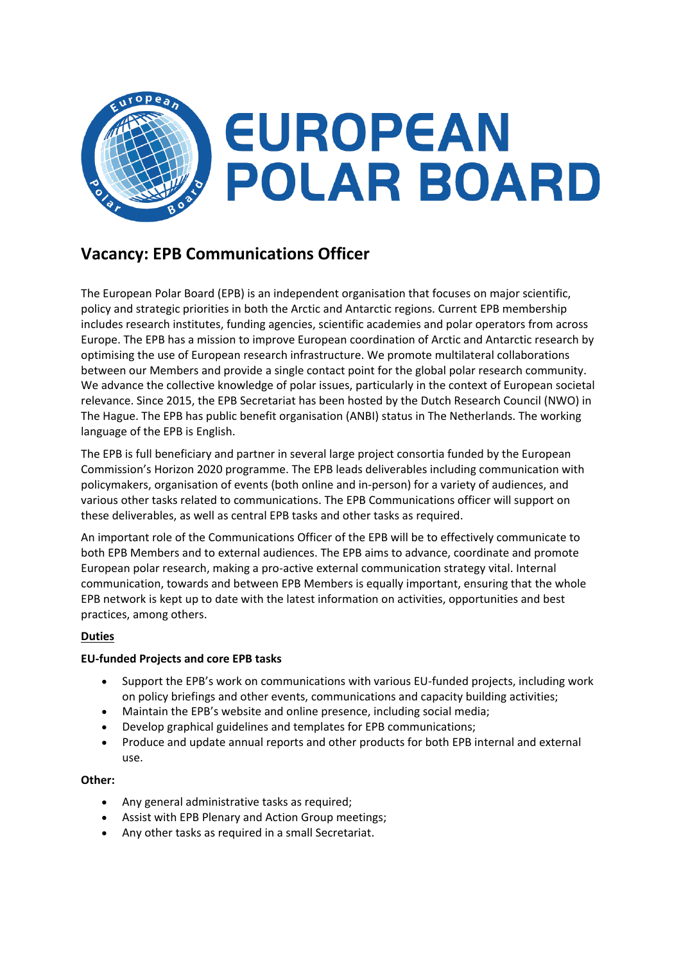

# **Vacancy: EPB Communications Officer**

The European Polar Board (EPB) is an independent organisation that focuses on major scientific, policy and strategic priorities in both the Arctic and Antarctic regions. Current EPB membership includes research institutes, funding agencies, scientific academies and polar operators from across Europe. The EPB has a mission to improve European coordination of Arctic and Antarctic research by optimising the use of European research infrastructure. We promote multilateral collaborations between our Members and provide a single contact point for the global polar research community. We advance the collective knowledge of polar issues, particularly in the context of European societal relevance. Since 2015, the EPB Secretariat has been hosted by the Dutch Research Council (NWO) in The Hague. The EPB has public benefit organisation (ANBI) status in The Netherlands. The working language of the EPB is English.

The EPB is full beneficiary and partner in several large project consortia funded by the European Commission's Horizon 2020 programme. The EPB leads deliverables including communication with policymakers, organisation of events (both online and in-person) for a variety of audiences, and various other tasks related to communications. The EPB Communications officer will support on these deliverables, as well as central EPB tasks and other tasks as required.

An important role of the Communications Officer of the EPB will be to effectively communicate to both EPB Members and to external audiences. The EPB aims to advance, coordinate and promote European polar research, making a pro-active external communication strategy vital. Internal communication, towards and between EPB Members is equally important, ensuring that the whole EPB network is kept up to date with the latest information on activities, opportunities and best practices, among others.

# **Duties**

### **EU-funded Projects and core EPB tasks**

- Support the EPB's work on communications with various EU-funded projects, including work on policy briefings and other events, communications and capacity building activities;
- Maintain the EPB's website and online presence, including social media;
- Develop graphical guidelines and templates for EPB communications;
- Produce and update annual reports and other products for both EPB internal and external use.

### **Other:**

- Any general administrative tasks as required:
- Assist with EPB Plenary and Action Group meetings;
- Any other tasks as required in a small Secretariat.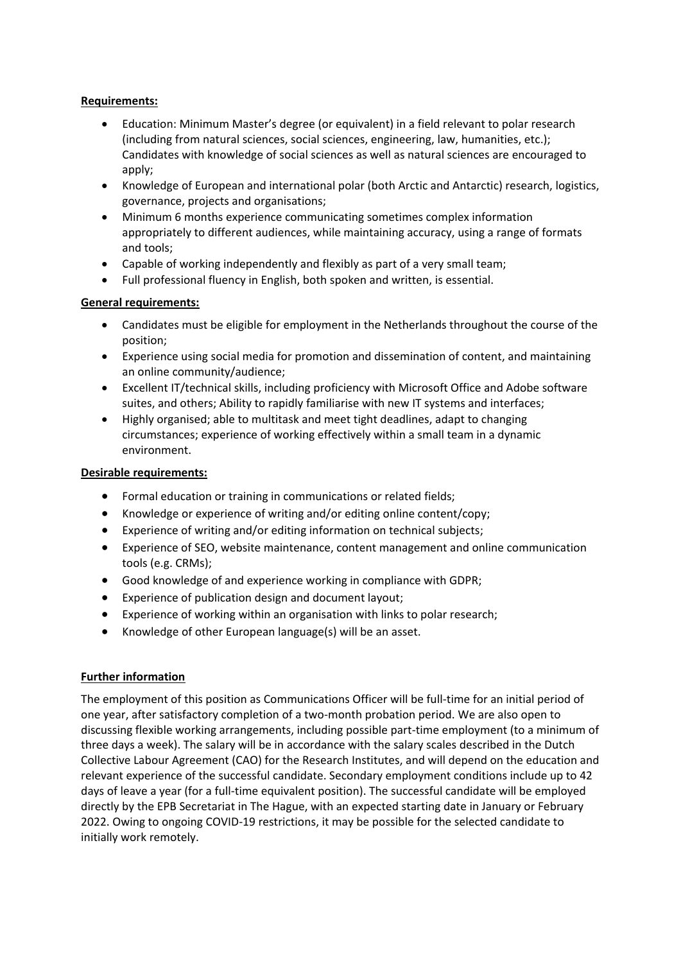## **Requirements:**

- Education: Minimum Master's degree (or equivalent) in a field relevant to polar research (including from natural sciences, social sciences, engineering, law, humanities, etc.); Candidates with knowledge of social sciences as well as natural sciences are encouraged to apply;
- Knowledge of European and international polar (both Arctic and Antarctic) research, logistics, governance, projects and organisations;
- Minimum 6 months experience communicating sometimes complex information appropriately to different audiences, while maintaining accuracy, using a range of formats and tools;
- Capable of working independently and flexibly as part of a very small team;
- Full professional fluency in English, both spoken and written, is essential.

# **General requirements:**

- Candidates must be eligible for employment in the Netherlands throughout the course of the position;
- Experience using social media for promotion and dissemination of content, and maintaining an online community/audience;
- Excellent IT/technical skills, including proficiency with Microsoft Office and Adobe software suites, and others; Ability to rapidly familiarise with new IT systems and interfaces;
- Highly organised; able to multitask and meet tight deadlines, adapt to changing circumstances; experience of working effectively within a small team in a dynamic environment.

## **Desirable requirements:**

- Formal education or training in communications or related fields;
- Knowledge or experience of writing and/or editing online content/copy;
- Experience of writing and/or editing information on technical subjects;
- Experience of SEO, website maintenance, content management and online communication tools (e.g. CRMs);
- Good knowledge of and experience working in compliance with GDPR;
- Experience of publication design and document layout;
- Experience of working within an organisation with links to polar research;
- Knowledge of other European language(s) will be an asset.

# **Further information**

The employment of this position as Communications Officer will be full-time for an initial period of one year, after satisfactory completion of a two-month probation period. We are also open to discussing flexible working arrangements, including possible part-time employment (to a minimum of three days a week). The salary will be in accordance with the salary scales described in the Dutch Collective Labour Agreement (CAO) for the Research Institutes, and will depend on the education and relevant experience of the successful candidate. Secondary employment conditions include up to 42 days of leave a year (for a full-time equivalent position). The successful candidate will be employed directly by the EPB Secretariat in The Hague, with an expected starting date in January or February 2022. Owing to ongoing COVID-19 restrictions, it may be possible for the selected candidate to initially work remotely.